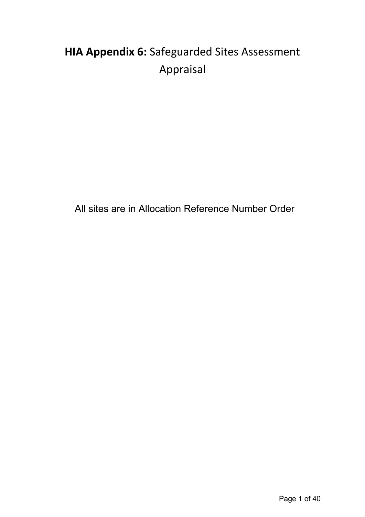# **HIA Appendix 6:** Safeguarded Sites Assessment Appraisal

All sites are in Allocation Reference Number Order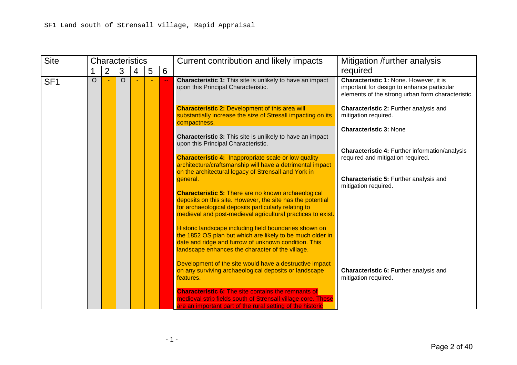| <b>Site</b>     |         | <b>Characteristics</b> |         |   |   |   | Current contribution and likely impacts                                                                                                                                                                                                         | Mitigation /further analysis                                                                                                              |
|-----------------|---------|------------------------|---------|---|---|---|-------------------------------------------------------------------------------------------------------------------------------------------------------------------------------------------------------------------------------------------------|-------------------------------------------------------------------------------------------------------------------------------------------|
|                 |         | $\overline{2}$         | 3       | 4 | 5 | 6 |                                                                                                                                                                                                                                                 | required                                                                                                                                  |
| SF <sub>1</sub> | $\circ$ |                        | $\circ$ |   |   |   | <b>Characteristic 1:</b> This site is unlikely to have an impact<br>upon this Principal Characteristic.                                                                                                                                         | Characteristic 1: None. However, it is<br>important for design to enhance particular<br>elements of the strong urban form characteristic. |
|                 |         |                        |         |   |   |   | <b>Characteristic 2: Development of this area will</b><br>substantially increase the size of Stresall impacting on its<br>compactness.                                                                                                          | Characteristic 2: Further analysis and<br>mitigation required.                                                                            |
|                 |         |                        |         |   |   |   | <b>Characteristic 3:</b> This site is unlikely to have an impact<br>upon this Principal Characteristic.                                                                                                                                         | <b>Characteristic 3: None</b>                                                                                                             |
|                 |         |                        |         |   |   |   |                                                                                                                                                                                                                                                 | <b>Characteristic 4: Further information/analysis</b>                                                                                     |
|                 |         |                        |         |   |   |   | <b>Characteristic 4: Inappropriate scale or low quality</b><br>architecture/craftsmanship will have a detrimental impact<br>on the architectural legacy of Strensall and York in                                                                | required and mitigation required.                                                                                                         |
|                 |         |                        |         |   |   |   | general.                                                                                                                                                                                                                                        | <b>Characteristic 5: Further analysis and</b><br>mitigation required.                                                                     |
|                 |         |                        |         |   |   |   | <b>Characteristic 5: There are no known archaeological</b><br>deposits on this site. However, the site has the potential<br>for archaeological deposits particularly relating to<br>medieval and post-medieval agricultural practices to exist. |                                                                                                                                           |
|                 |         |                        |         |   |   |   | Historic landscape including field boundaries shown on<br>the 1852 OS plan but which are likely to be much older in<br>date and ridge and furrow of unknown condition. This<br>landscape enhances the character of the village.                 |                                                                                                                                           |
|                 |         |                        |         |   |   |   | Development of the site would have a destructive impact<br>on any surviving archaeological deposits or landscape<br>features.                                                                                                                   | Characteristic 6: Further analysis and<br>mitigation required.                                                                            |
|                 |         |                        |         |   |   |   | <b>Characteristic 6: The site contains the remnants of</b><br>medieval strip fields south of Strensall village core. These<br>are an important part of the rural setting of the historic                                                        |                                                                                                                                           |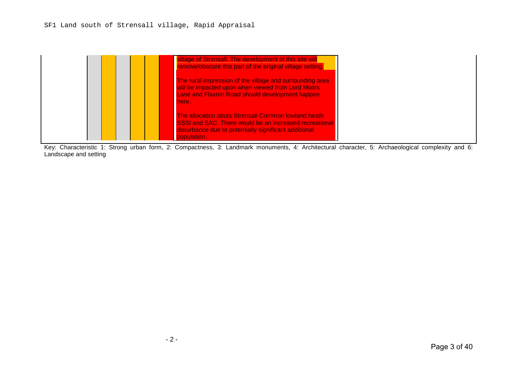#### SF1 Land south of Strensall village, Rapid Appraisal

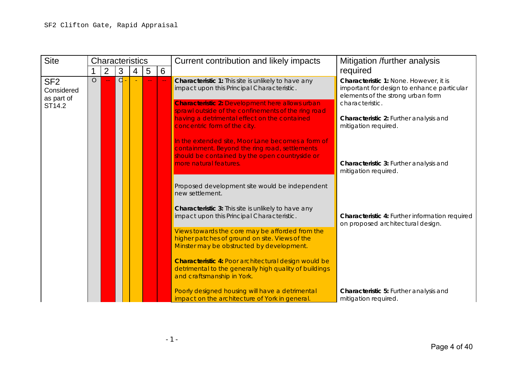| <b>Site</b>                                           |                | <b>Characteristics</b> |   |   |   |   | Current contribution and likely impacts                                                                                                                                         | Mitigation /further analysis                                                                                                                 |
|-------------------------------------------------------|----------------|------------------------|---|---|---|---|---------------------------------------------------------------------------------------------------------------------------------------------------------------------------------|----------------------------------------------------------------------------------------------------------------------------------------------|
|                                                       |                | $\overline{2}$         | 3 | 4 | 5 | 6 |                                                                                                                                                                                 | required                                                                                                                                     |
| SF <sub>2</sub><br>Considered<br>as part of<br>ST14.2 | $\overline{O}$ |                        | d |   |   |   | Characteristic 1: This site is unlikely to have any<br>impact upon this Principal Characteristic.<br><b>Characteristic 2: Development here allows urban</b>                     | Characteristic 1: None. However, it is<br>important for design to enhance particular<br>elements of the strong urban form<br>characteristic. |
|                                                       |                |                        |   |   |   |   | sprawl outside of the confinements of the ring road<br>having a detrimental effect on the contained<br>concentric form of the city.                                             | Characteristic 2: Further analysis and<br>mitigation required.                                                                               |
|                                                       |                |                        |   |   |   |   | In the extended site, Moor Lane becomes a form of<br>containment. Beyond the ring road, settlements<br>should be contained by the open countryside or<br>more natural features. | Characteristic 3: Further analysis and                                                                                                       |
|                                                       |                |                        |   |   |   |   |                                                                                                                                                                                 | mitigation required.                                                                                                                         |
|                                                       |                |                        |   |   |   |   | Proposed development site would be independent<br>new settlement.                                                                                                               |                                                                                                                                              |
|                                                       |                |                        |   |   |   |   | Characteristic 3: This site is unlikely to have any<br>impact upon this Principal Characteristic.                                                                               | Characteristic 4: Further information required<br>on proposed architectural design.                                                          |
|                                                       |                |                        |   |   |   |   | Views towards the core may be afforded from the<br>higher patches of ground on site. Views of the<br>Minster may be obstructed by development.                                  |                                                                                                                                              |
|                                                       |                |                        |   |   |   |   | Characteristic 4: Poor architectural design would be<br>detrimental to the generally high quality of buildings<br>and craftsmanship in York.                                    |                                                                                                                                              |
|                                                       |                |                        |   |   |   |   | Poorly designed housing will have a detrimental<br>impact on the architecture of York in general.                                                                               | Characteristic 5: Further analysis and<br>mitigation required.                                                                               |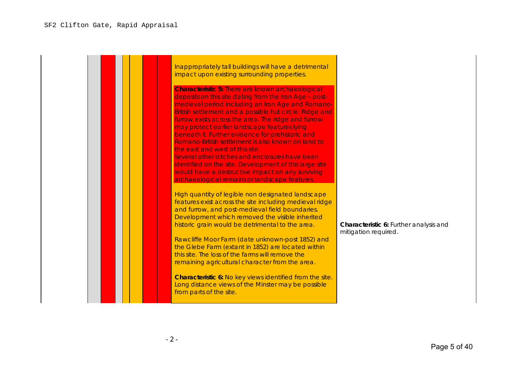| Inappropriately tall buildings will have a detrimental<br>impact upon existing surrounding properties.                                                                                                                                                                                                                                                                                                                                                                                                                                                                                                                                                                                                 |                                                                |
|--------------------------------------------------------------------------------------------------------------------------------------------------------------------------------------------------------------------------------------------------------------------------------------------------------------------------------------------------------------------------------------------------------------------------------------------------------------------------------------------------------------------------------------------------------------------------------------------------------------------------------------------------------------------------------------------------------|----------------------------------------------------------------|
| <b>Characteristic 5: There are known archaeological</b><br>deposits on this site dating from the Iron Age - post-<br>medieval period including an Iron Age and Romano-<br>British settlement and a possible hut circle. Ridge and<br>furrow exists across the area. The ridge and furrow<br>may protect earlier landscape features lying<br>beneath it. Further evidence for prehistoric and<br>Romano-British settlement is also known on land to<br>the east and west of this site.<br>Several other ditches and enclosures have been<br>identified on the site. Development of this large site<br>would have a destructive impact on any surviving<br>archaeological remains or landscape features. |                                                                |
| High quantity of legible non designated landscape<br>features exist across the site including medieval ridge<br>and furrow, and post-medieval field boundaries.<br>Development which removed the visible inherited<br>historic grain would be detrimental to the area.<br>Rawcliffe Moor Farm (date unknown-post 1852) and<br>the Glebe Farm (extant in 1852) are located within<br>this site. The loss of the farms will remove the<br>remaining agricultural character from the area.<br>Characteristic 6: No key views identified from the site.<br>Long distance views of the Minster may be possible<br>from parts of the site.                                                                   | Characteristic 6: Further analysis and<br>mitigation required. |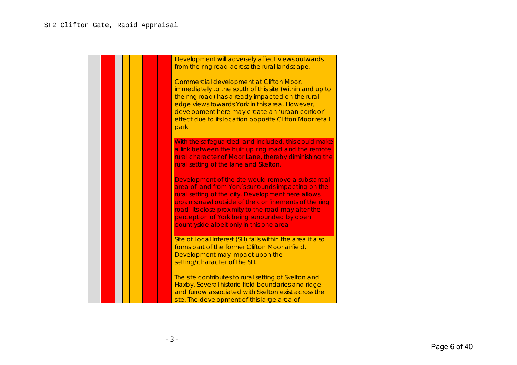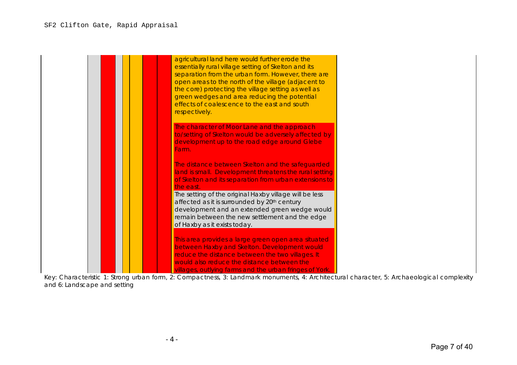| agricultural land here would further erode the<br>essentially rural village setting of Skelton and its<br>separation from the urban form. However, there are<br>open areas to the north of the village (adjacent to<br>the core) protecting the village setting as well as<br>green wedges and area reducing the potential<br>effects of coalescence to the east and south<br>respectively. |
|---------------------------------------------------------------------------------------------------------------------------------------------------------------------------------------------------------------------------------------------------------------------------------------------------------------------------------------------------------------------------------------------|
| The character of Moor Lane and the approach<br>to/setting of Skelton would be adversely affected by<br>development up to the road edge around Glebe<br>Farm.                                                                                                                                                                                                                                |
| The distance between Skelton and the safeguarded<br>land is small. Development threatens the rural setting<br>of Skelton and its separation from urban extensions to<br>the east.                                                                                                                                                                                                           |
| The setting of the original Haxby village will be less<br>affected as it is surrounded by 20 <sup>th</sup> century<br>development and an extended green wedge would<br>remain between the new settlement and the edge<br>of Haxby as it exists today.                                                                                                                                       |
| This area provides a large green open area situated<br>between Haxby and Skelton. Development would<br>reduce the distance between the two villages. It<br>would also reduce the distance between the<br>villages, outlying farms and the urban fringes of York.                                                                                                                            |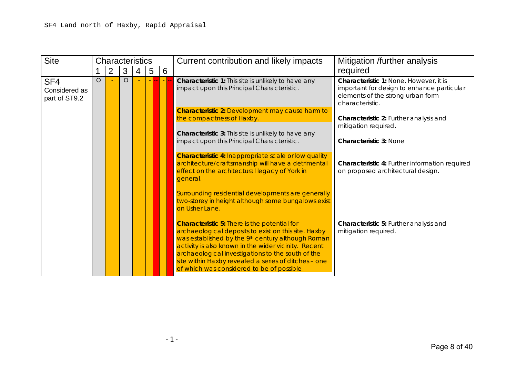| <b>Site</b>                                       |         | Characteristics |         |   |   |   | Current contribution and likely impacts                                                                                                                                                                                                                                                                                                                                            | Mitigation /further analysis                                                                                                                 |
|---------------------------------------------------|---------|-----------------|---------|---|---|---|------------------------------------------------------------------------------------------------------------------------------------------------------------------------------------------------------------------------------------------------------------------------------------------------------------------------------------------------------------------------------------|----------------------------------------------------------------------------------------------------------------------------------------------|
|                                                   |         | $\overline{2}$  | 3       | 4 | 5 | 6 |                                                                                                                                                                                                                                                                                                                                                                                    | required                                                                                                                                     |
| SF <sub>4</sub><br>Considered as<br>part of ST9.2 | $\circ$ |                 | $\circ$ |   |   |   | Characteristic 1: This site is unlikely to have any<br>impact upon this Principal Characteristic.                                                                                                                                                                                                                                                                                  | Characteristic 1: None. However, it is<br>important for design to enhance particular<br>elements of the strong urban form<br>characteristic. |
|                                                   |         |                 |         |   |   |   | <b>Characteristic 2: Development may cause harm to</b><br>the compactness of Haxby.                                                                                                                                                                                                                                                                                                | Characteristic 2: Further analysis and                                                                                                       |
|                                                   |         |                 |         |   |   |   | Characteristic 3: This site is unlikely to have any                                                                                                                                                                                                                                                                                                                                | mitigation required.                                                                                                                         |
|                                                   |         |                 |         |   |   |   | impact upon this Principal Characteristic.                                                                                                                                                                                                                                                                                                                                         | <b>Characteristic 3: None</b>                                                                                                                |
|                                                   |         |                 |         |   |   |   | <b>Characteristic 4: Inappropriate scale or low quality</b><br>architecture/craftsmanship will have a detrimental<br>effect on the architectural legacy of York in<br>general.                                                                                                                                                                                                     | Characteristic 4: Further information required<br>on proposed architectural design.                                                          |
|                                                   |         |                 |         |   |   |   | Surrounding residential developments are generally<br>two-storey in height although some bungalows exist<br>on Usher Lane.                                                                                                                                                                                                                                                         |                                                                                                                                              |
|                                                   |         |                 |         |   |   |   | <b>Characteristic 5: There is the potential for</b><br>archaeological deposits to exist on this site. Haxby<br>was established by the 9th century although Roman<br>activity is also known in the wider vicinity. Recent<br>archaeological investigations to the south of the<br>site within Haxby revealed a series of ditches - one<br>of which was considered to be of possible | Characteristic 5: Further analysis and<br>mitigation required.                                                                               |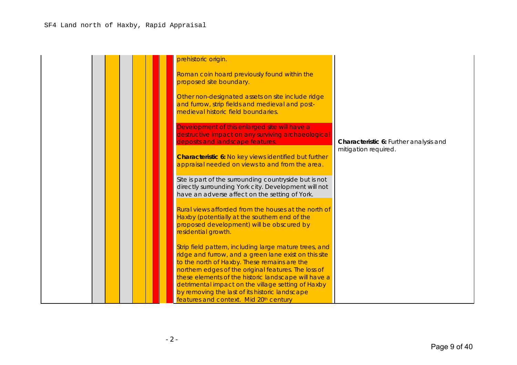| prehistoric origin.                                                                                                                                                                                                                                                                                                                   |                                        |
|---------------------------------------------------------------------------------------------------------------------------------------------------------------------------------------------------------------------------------------------------------------------------------------------------------------------------------------|----------------------------------------|
| Roman coin hoard previously found within the<br>proposed site boundary.                                                                                                                                                                                                                                                               |                                        |
| Other non-designated assets on site include ridge<br>and furrow, strip fields and medieval and post-<br>medieval historic field boundaries.                                                                                                                                                                                           |                                        |
| Development of this enlarged site will have a<br>destructive impact on any surviving archaeological<br>deposits and landscape features.                                                                                                                                                                                               | Characteristic 6: Further analysis and |
| <b>Characteristic 6: No key views identified but further</b><br>appraisal needed on views to and from the area.                                                                                                                                                                                                                       | mitigation required.                   |
| Site is part of the surrounding countryside but is not<br>directly surrounding York city. Development will not<br>have an adverse affect on the setting of York.                                                                                                                                                                      |                                        |
| Rural views afforded from the houses at the north of<br>Haxby (potentially at the southern end of the<br>proposed development) will be obscured by<br>residential growth.                                                                                                                                                             |                                        |
| Strip field pattern, including large mature trees, and<br>ridge and furrow, and a green lane exist on this site<br>to the north of Haxby. These remains are the<br>northern edges of the original features. The loss of<br>these elements of the historic landscape will have a<br>detrimental impact on the village setting of Haxby |                                        |
| by removing the last of its historic landscape<br>features and context. Mid 20th century                                                                                                                                                                                                                                              |                                        |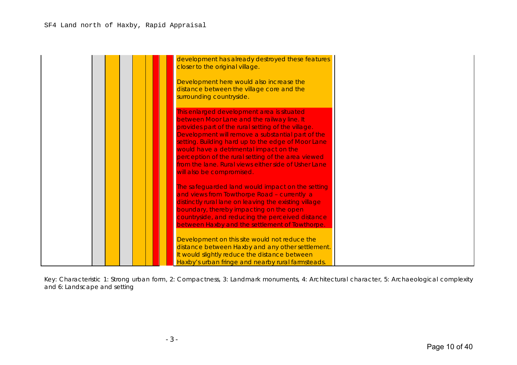| development has already destroyed these features<br>closer to the original village.                                                                                                                                                                                                                                                                                                                                                            |  |
|------------------------------------------------------------------------------------------------------------------------------------------------------------------------------------------------------------------------------------------------------------------------------------------------------------------------------------------------------------------------------------------------------------------------------------------------|--|
| Development here would also increase the<br>distance between the village core and the<br>surrounding countryside.                                                                                                                                                                                                                                                                                                                              |  |
| This enlarged development area is situated<br>between Moor Lane and the railway line. It<br>provides part of the rural setting of the village.<br>Development will remove a substantial part of the<br>setting. Building hard up to the edge of Moor Lane<br>would have a detrimental impact on the<br>perception of the rural setting of the area viewed<br>from the lane. Rural views either side of Usher Lane<br>will also be compromised. |  |
| The safeguarded land would impact on the setting<br>and views from Towthorpe Road - currently a<br>distinctly rural lane on leaving the existing village<br>boundary, thereby impacting on the open<br>countryside, and reducing the perceived distance<br>between Haxby and the settlement of Towthorpe.                                                                                                                                      |  |
| Development on this site would not reduce the<br>distance between Haxby and any other settlement.<br>It would slightly reduce the distance between<br>Haxby's urban fringe and nearby rural farmsteads.                                                                                                                                                                                                                                        |  |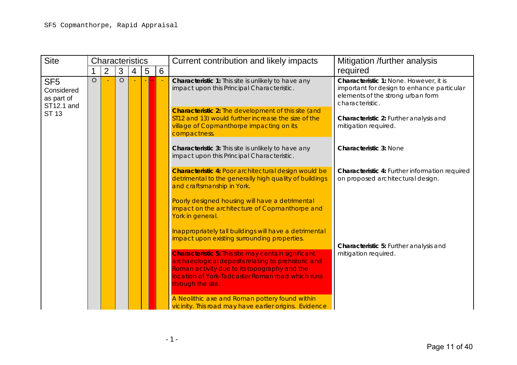| <b>Site</b>                                               |         | <b>Characteristics</b> |         |   |   |   | Current contribution and likely impacts                                                                                                                                                                                                    | Mitigation /further analysis                                                                                                                 |
|-----------------------------------------------------------|---------|------------------------|---------|---|---|---|--------------------------------------------------------------------------------------------------------------------------------------------------------------------------------------------------------------------------------------------|----------------------------------------------------------------------------------------------------------------------------------------------|
|                                                           |         | $\overline{2}$         | 3       | 4 | 5 | 6 |                                                                                                                                                                                                                                            | required                                                                                                                                     |
| SF <sub>5</sub><br>Considered<br>as part of<br>ST12.1 and | $\circ$ |                        | $\circ$ |   |   |   | Characteristic 1: This site is unlikely to have any<br>impact upon this Principal Characteristic.                                                                                                                                          | Characteristic 1: None. However, it is<br>important for design to enhance particular<br>elements of the strong urban form<br>characteristic. |
| <b>ST 13</b>                                              |         |                        |         |   |   |   | <b>Characteristic 2:</b> The development of this site (and<br>ST12 and 13) would further increase the size of the<br>village of Copmanthorpe impacting on its<br>compactness.                                                              | Characteristic 2: Further analysis and<br>mitigation required.                                                                               |
|                                                           |         |                        |         |   |   |   | Characteristic 3: This site is unlikely to have any<br>impact upon this Principal Characteristic.                                                                                                                                          | <b>Characteristic 3: None</b>                                                                                                                |
|                                                           |         |                        |         |   |   |   | <b>Characteristic 4: Poor architectural design would be</b><br>detrimental to the generally high quality of buildings<br>and craftsmanship in York.                                                                                        | Characteristic 4: Further information required<br>on proposed architectural design.                                                          |
|                                                           |         |                        |         |   |   |   | Poorly designed housing will have a detrimental<br>impact on the architecture of Copmanthorpe and<br>York in general.                                                                                                                      |                                                                                                                                              |
|                                                           |         |                        |         |   |   |   | Inappropriately tall buildings will have a detrimental<br>impact upon existing surrounding properties.                                                                                                                                     | Characteristic 5: Further analysis and                                                                                                       |
|                                                           |         |                        |         |   |   |   | <b>Characteristic 5: This site may contain significant</b><br>archaeological deposits relating to prehistoric and<br>Roman activity due to its topography and the<br>location of York-Tadcaster Roman road which runs<br>through the site. | mitigation required.                                                                                                                         |
|                                                           |         |                        |         |   |   |   | A Neolithic axe and Roman pottery found within<br>vicinity. This road may have earlier origins. Evidence                                                                                                                                   |                                                                                                                                              |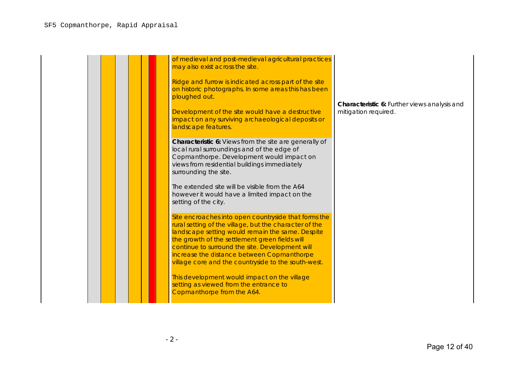| of medieval and post-medieval agricultural practices<br>may also exist across the site.<br>Ridge and furrow is indicated across part of the site<br>on historic photographs. In some areas this has been<br>ploughed out.<br>Development of the site would have a destructive<br>impact on any surviving archaeological deposits or<br>landscape features.                                                                                                                                           | Characteristic 6: Further views analysis and<br>mitigation required. |
|------------------------------------------------------------------------------------------------------------------------------------------------------------------------------------------------------------------------------------------------------------------------------------------------------------------------------------------------------------------------------------------------------------------------------------------------------------------------------------------------------|----------------------------------------------------------------------|
| Characteristic 6: Views from the site are generally of<br>local rural surroundings and of the edge of<br>Copmanthorpe. Development would impact on<br>views from residential buildings immediately<br>surrounding the site.<br>The extended site will be visible from the A64<br>however it would have a limited impact on the<br>setting of the city.                                                                                                                                               |                                                                      |
| Site encroaches into open countryside that forms the<br>rural setting of the village, but the character of the<br>landscape setting would remain the same. Despite<br>the growth of the settlement green fields will<br>continue to surround the site. Development will<br>increase the distance between Copmanthorpe<br>village core and the countryside to the south-west.<br>This development would impact on the village<br>setting as viewed from the entrance to<br>Copmanthorpe from the A64. |                                                                      |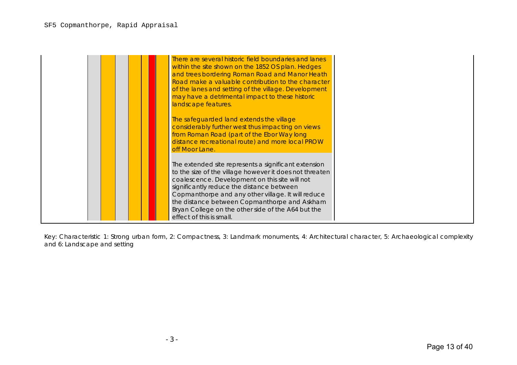| There are several historic field boundaries and lanes<br>within the site shown on the 1852 OS plan. Hedges<br>and trees bordering Roman Road and Manor Heath<br>Road make a valuable contribution to the character<br>of the lanes and setting of the village. Development<br>may have a detrimental impact to these historic<br>landscape features.                                                   |
|--------------------------------------------------------------------------------------------------------------------------------------------------------------------------------------------------------------------------------------------------------------------------------------------------------------------------------------------------------------------------------------------------------|
| The safeguarded land extends the village<br>considerably further west thus impacting on views<br>from Roman Road (part of the Ebor Way long<br>distance recreational route) and more local PROW<br>off Moor Lane.                                                                                                                                                                                      |
| The extended site represents a significant extension<br>to the size of the village however it does not threaten<br>coalescence. Development on this site will not<br>significantly reduce the distance between<br>Copmanthorpe and any other village. It will reduce<br>the distance between Copmanthorpe and Askham<br>Bryan College on the other side of the A64 but the<br>effect of this is small. |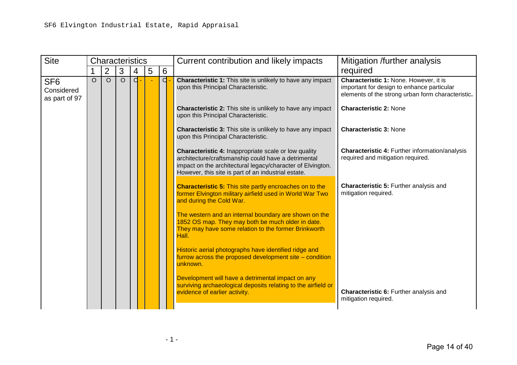| <b>Site</b>                                    |          |                | <b>Characteristics</b> |       |   |                | Current contribution and likely impacts                                                                                                                                                                                          | Mitigation /further analysis                                                                                                              |
|------------------------------------------------|----------|----------------|------------------------|-------|---|----------------|----------------------------------------------------------------------------------------------------------------------------------------------------------------------------------------------------------------------------------|-------------------------------------------------------------------------------------------------------------------------------------------|
|                                                |          | $\overline{2}$ | 3                      | 4     | 5 | $6\phantom{1}$ |                                                                                                                                                                                                                                  | required                                                                                                                                  |
| SF <sub>6</sub><br>Considered<br>as part of 97 | $\Omega$ | $\circ$        | $\circ$                | $d -$ |   | d              | <b>Characteristic 1:</b> This site is unlikely to have any impact<br>upon this Principal Characteristic.                                                                                                                         | Characteristic 1: None. However, it is<br>important for design to enhance particular<br>elements of the strong urban form characteristic. |
|                                                |          |                |                        |       |   |                | <b>Characteristic 2:</b> This site is unlikely to have any impact<br>upon this Principal Characteristic.                                                                                                                         | <b>Characteristic 2: None</b>                                                                                                             |
|                                                |          |                |                        |       |   |                | <b>Characteristic 3:</b> This site is unlikely to have any impact<br>upon this Principal Characteristic.                                                                                                                         | <b>Characteristic 3: None</b>                                                                                                             |
|                                                |          |                |                        |       |   |                | Characteristic 4: Inappropriate scale or low quality<br>architecture/craftsmanship could have a detrimental<br>impact on the architectural legacy/character of Elvington.<br>However, this site is part of an industrial estate. | Characteristic 4: Further information/analysis<br>required and mitigation required.                                                       |
|                                                |          |                |                        |       |   |                | <b>Characteristic 5:</b> This site partly encroaches on to the<br>former Elvington military airfield used in World War Two<br>and during the Cold War.                                                                           | <b>Characteristic 5: Further analysis and</b><br>mitigation required.                                                                     |
|                                                |          |                |                        |       |   |                | The western and an internal boundary are shown on the<br>1852 OS map. They may both be much older in date.<br>They may have some relation to the former Brinkworth<br>Hall.                                                      |                                                                                                                                           |
|                                                |          |                |                        |       |   |                | Historic aerial photographs have identified ridge and<br>furrow across the proposed development site - condition<br>unknown.                                                                                                     |                                                                                                                                           |
|                                                |          |                |                        |       |   |                | Development will have a detrimental impact on any<br>surviving archaeological deposits relating to the airfield or<br>evidence of earlier activity.                                                                              | Characteristic 6: Further analysis and<br>mitigation required.                                                                            |
|                                                |          |                |                        |       |   |                |                                                                                                                                                                                                                                  |                                                                                                                                           |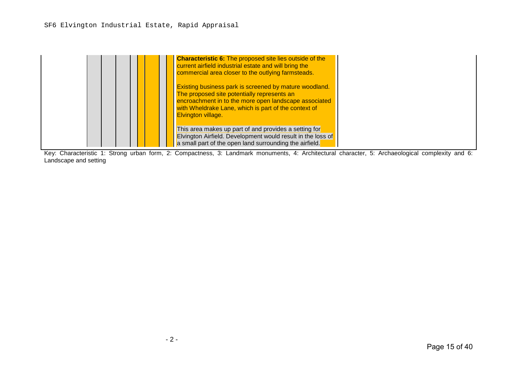## SF6 Elvington Industrial Estate, Rapid Appraisal

| <b>Characteristic 6:</b> The proposed site lies outside of the<br>current airfield industrial estate and will bring the<br>commercial area closer to the outlying farmsteads.                                                                       |  |
|-----------------------------------------------------------------------------------------------------------------------------------------------------------------------------------------------------------------------------------------------------|--|
| Existing business park is screened by mature woodland.<br>The proposed site potentially represents an<br>encroachment in to the more open landscape associated<br>with Wheldrake Lane, which is part of the context of<br><b>Elvington village.</b> |  |
| This area makes up part of and provides a setting for<br><b>Elvington Airfield. Development would result in the loss of</b><br>a small part of the open land surrounding the airfield.                                                              |  |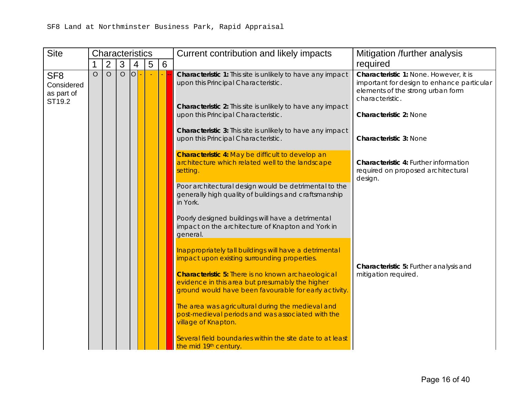| <b>Site</b>                                           |          | Characteristics                                                                                                |                                                                                                        |                                        |   |   | Current contribution and likely impacts                                                                                                                                | Mitigation /further analysis                                                                                                                 |
|-------------------------------------------------------|----------|----------------------------------------------------------------------------------------------------------------|--------------------------------------------------------------------------------------------------------|----------------------------------------|---|---|------------------------------------------------------------------------------------------------------------------------------------------------------------------------|----------------------------------------------------------------------------------------------------------------------------------------------|
|                                                       |          | $\overline{2}$                                                                                                 | 3                                                                                                      | 4                                      | 5 | 6 |                                                                                                                                                                        | required                                                                                                                                     |
| SF <sub>8</sub><br>Considered<br>as part of<br>ST19.2 | $\circ$  | $\overline{O}$                                                                                                 | $\overline{O}$                                                                                         | $\overline{O}$                         |   |   | Characteristic 1: This site is unlikely to have any impact<br>upon this Principal Characteristic.<br><b>Characteristic 2:</b> This site is unlikely to have any impact | Characteristic 1: None. However, it is<br>important for design to enhance particular<br>elements of the strong urban form<br>characteristic. |
|                                                       |          |                                                                                                                |                                                                                                        |                                        |   |   | upon this Principal Characteristic.<br>Characteristic 3: This site is unlikely to have any impact<br>upon this Principal Characteristic.                               | <b>Characteristic 2: None</b><br><b>Characteristic 3: None</b>                                                                               |
|                                                       |          |                                                                                                                |                                                                                                        |                                        |   |   | Characteristic 4: May be difficult to develop an<br>architecture which related well to the landscape<br>setting.                                                       | Characteristic 4: Further information<br>required on proposed architectural<br>design.                                                       |
|                                                       | in York. | Poor architectural design would be detrimental to the<br>generally high quality of buildings and craftsmanship |                                                                                                        |                                        |   |   |                                                                                                                                                                        |                                                                                                                                              |
|                                                       |          |                                                                                                                |                                                                                                        |                                        |   |   | Poorly designed buildings will have a detrimental<br>impact on the architecture of Knapton and York in<br>general.                                                     |                                                                                                                                              |
|                                                       |          |                                                                                                                | Inappropriately tall buildings will have a detrimental<br>impact upon existing surrounding properties. | Characteristic 5: Further analysis and |   |   |                                                                                                                                                                        |                                                                                                                                              |
|                                                       |          |                                                                                                                |                                                                                                        |                                        |   |   | <b>Characteristic 5: There is no known archaeological</b>                                                                                                              | evidence in this area but presumably the higher<br>ground would have been favourable for early activity.                                     |
|                                                       |          |                                                                                                                |                                                                                                        |                                        |   |   | The area was agricultural during the medieval and<br>post-medieval periods and was associated with the<br>village of Knapton.                                          |                                                                                                                                              |
|                                                       |          |                                                                                                                |                                                                                                        |                                        |   |   | Several field boundaries within the site date to at least<br>the mid 19th century.                                                                                     |                                                                                                                                              |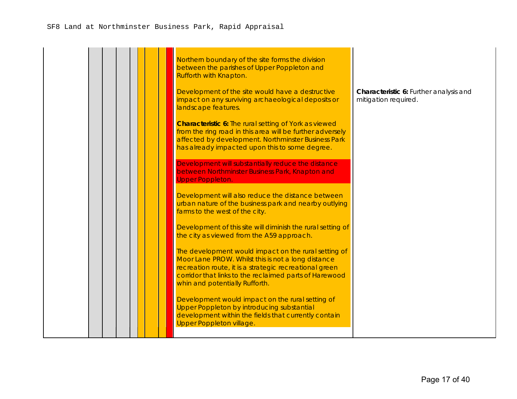| Northern boundary of the site forms the division<br>between the parishes of Upper Poppleton and<br>Rufforth with Knapton.                                                                                                                                        |                                                                |
|------------------------------------------------------------------------------------------------------------------------------------------------------------------------------------------------------------------------------------------------------------------|----------------------------------------------------------------|
| Development of the site would have a destructive<br>impact on any surviving archaeological deposits or<br>landscape features.                                                                                                                                    | Characteristic 6: Further analysis and<br>mitigation required. |
| <b>Characteristic 6:</b> The rural setting of York as viewed<br>from the ring road in this area will be further adversely<br>affected by development. Northminster Business Park<br>has already impacted upon this to some degree.                               |                                                                |
| Development will substantially reduce the distance<br>between Northminster Business Park, Knapton and<br><b>Upper Poppleton.</b>                                                                                                                                 |                                                                |
| Development will also reduce the distance between<br>urban nature of the business park and nearby outlying<br>farms to the west of the city.                                                                                                                     |                                                                |
| Development of this site will diminish the rural setting of<br>the city as viewed from the A59 approach.                                                                                                                                                         |                                                                |
| The development would impact on the rural setting of<br>Moor Lane PROW. Whilst this is not a long distance<br>recreation route, it is a strategic recreational green<br>corridor that links to the reclaimed parts of Harewood<br>whin and potentially Rufforth. |                                                                |
| Development would impact on the rural setting of<br>Upper Poppleton by introducing substantial<br>development within the fields that currently contain<br>Upper Poppleton village.                                                                               |                                                                |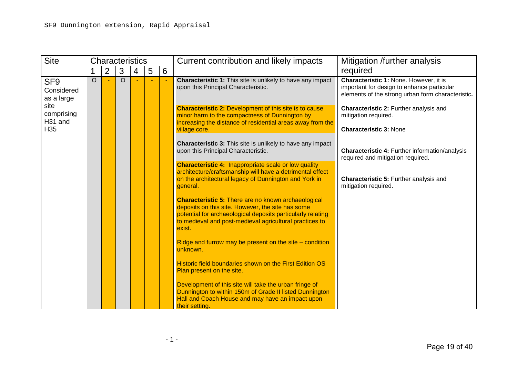| <b>Site</b>                                 |          | <b>Characteristics</b> |          |   |   |   | Current contribution and likely impacts                                                                                                                                                                                                             | Mitigation /further analysis                                                                                                              |  |
|---------------------------------------------|----------|------------------------|----------|---|---|---|-----------------------------------------------------------------------------------------------------------------------------------------------------------------------------------------------------------------------------------------------------|-------------------------------------------------------------------------------------------------------------------------------------------|--|
|                                             |          | $\overline{2}$         | 3        | 4 | 5 | 6 |                                                                                                                                                                                                                                                     | required                                                                                                                                  |  |
| SF <sub>9</sub><br>Considered<br>as a large | $\Omega$ |                        | $\Omega$ |   |   |   | <b>Characteristic 1:</b> This site is unlikely to have any impact<br>upon this Principal Characteristic.                                                                                                                                            | Characteristic 1: None. However, it is<br>important for design to enhance particular<br>elements of the strong urban form characteristic. |  |
| site<br>comprising<br>H <sub>31</sub> and   |          |                        |          |   |   |   | <b>Characteristic 2: Development of this site is to cause</b><br>minor harm to the compactness of Dunnington by<br>increasing the distance of residential areas away from the                                                                       | Characteristic 2: Further analysis and<br>mitigation required.                                                                            |  |
| H <sub>35</sub>                             |          |                        |          |   |   |   | village core.                                                                                                                                                                                                                                       | <b>Characteristic 3: None</b>                                                                                                             |  |
|                                             |          |                        |          |   |   |   | <b>Characteristic 3:</b> This site is unlikely to have any impact<br>upon this Principal Characteristic.                                                                                                                                            | Characteristic 4: Further information/analysis<br>required and mitigation required.                                                       |  |
|                                             |          |                        |          |   |   |   | <b>Characteristic 4: Inappropriate scale or low quality</b><br>architecture/craftsmanship will have a detrimental effect<br>on the architectural legacy of Dunnington and York in<br>general.                                                       | <b>Characteristic 5: Further analysis and</b><br>mitigation required.                                                                     |  |
|                                             |          |                        |          |   |   |   | <b>Characteristic 5: There are no known archaeological</b><br>deposits on this site. However, the site has some<br>potential for archaeological deposits particularly relating<br>to medieval and post-medieval agricultural practices to<br>exist. |                                                                                                                                           |  |
|                                             |          |                        |          |   |   |   | Ridge and furrow may be present on the site $-$ condition<br>unknown.                                                                                                                                                                               |                                                                                                                                           |  |
|                                             |          |                        |          |   |   |   | Historic field boundaries shown on the First Edition OS<br>Plan present on the site.                                                                                                                                                                |                                                                                                                                           |  |
|                                             |          |                        |          |   |   |   | Development of this site will take the urban fringe of<br>Dunnington to within 150m of Grade II listed Dunnington<br>Hall and Coach House and may have an impact upon<br>their setting.                                                             |                                                                                                                                           |  |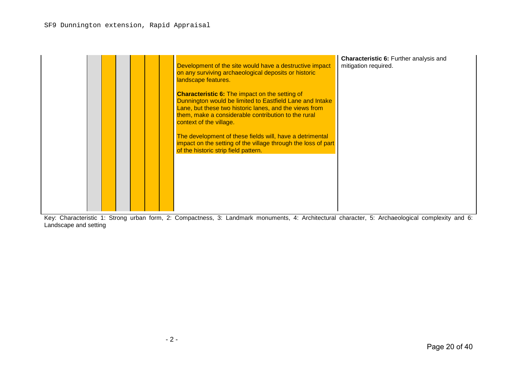|  |  | Development of the site would have a destructive impact<br>on any surviving archaeological deposits or historic<br>landscape features.<br><b>Characteristic 6:</b> The impact on the setting of<br>Dunnington would be limited to Eastfield Lane and Intake<br>Lane, but these two historic lanes, and the views from<br>them, make a considerable contribution to the rural<br>context of the village.<br>The development of these fields will, have a detrimental<br>impact on the setting of the village through the loss of part<br>of the historic strip field pattern. | <b>Characteristic 6: Further analysis and</b><br>mitigation required. |
|--|--|------------------------------------------------------------------------------------------------------------------------------------------------------------------------------------------------------------------------------------------------------------------------------------------------------------------------------------------------------------------------------------------------------------------------------------------------------------------------------------------------------------------------------------------------------------------------------|-----------------------------------------------------------------------|
|--|--|------------------------------------------------------------------------------------------------------------------------------------------------------------------------------------------------------------------------------------------------------------------------------------------------------------------------------------------------------------------------------------------------------------------------------------------------------------------------------------------------------------------------------------------------------------------------------|-----------------------------------------------------------------------|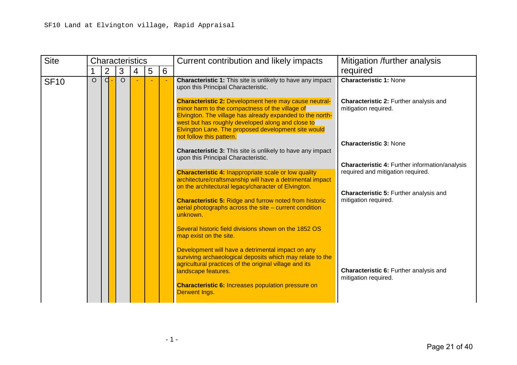| <b>Site</b> |          |                |          | <b>Characteristics</b> |   |   | Current contribution and likely impacts                                                                                                                                                                                                                                                                                                                                                                                                                                                                                                                                                                                                                                                                                                                                                          | Mitigation /further analysis                                                                                                                                                                                                                                                                     |
|-------------|----------|----------------|----------|------------------------|---|---|--------------------------------------------------------------------------------------------------------------------------------------------------------------------------------------------------------------------------------------------------------------------------------------------------------------------------------------------------------------------------------------------------------------------------------------------------------------------------------------------------------------------------------------------------------------------------------------------------------------------------------------------------------------------------------------------------------------------------------------------------------------------------------------------------|--------------------------------------------------------------------------------------------------------------------------------------------------------------------------------------------------------------------------------------------------------------------------------------------------|
|             |          | $\overline{2}$ | 3        | 4                      | 5 | 6 |                                                                                                                                                                                                                                                                                                                                                                                                                                                                                                                                                                                                                                                                                                                                                                                                  | required                                                                                                                                                                                                                                                                                         |
| <b>SF10</b> | $\Omega$ | d              | $\Omega$ |                        |   |   | <b>Characteristic 1:</b> This site is unlikely to have any impact<br>upon this Principal Characteristic.<br><b>Characteristic 2: Development here may cause neutral-</b><br>minor harm to the compactness of the village of<br>Elvington. The village has already expanded to the north-<br>west but has roughly developed along and close to<br>Elvington Lane. The proposed development site would<br>not follow this pattern.<br><b>Characteristic 3:</b> This site is unlikely to have any impact<br>upon this Principal Characteristic.<br><b>Characteristic 4: Inappropriate scale or low quality</b><br>architecture/craftsmanship will have a detrimental impact<br>on the architectural legacy/character of Elvington.<br><b>Characteristic 5: Ridge and furrow noted from historic</b> | <b>Characteristic 1: None</b><br>Characteristic 2: Further analysis and<br>mitigation required.<br><b>Characteristic 3: None</b><br><b>Characteristic 4: Further information/analysis</b><br>required and mitigation required.<br>Characteristic 5: Further analysis and<br>mitigation required. |
|             |          |                |          |                        |   |   | aerial photographs across the site $-$ current condition<br>unknown.<br>Several historic field divisions shown on the 1852 OS<br>map exist on the site.<br>Development will have a detrimental impact on any<br>surviving archaeological deposits which may relate to the<br>agricultural practices of the original village and its<br>landscape features.<br><b>Characteristic 6: Increases population pressure on</b><br>Derwent Ings.                                                                                                                                                                                                                                                                                                                                                         | Characteristic 6: Further analysis and<br>mitigation required.                                                                                                                                                                                                                                   |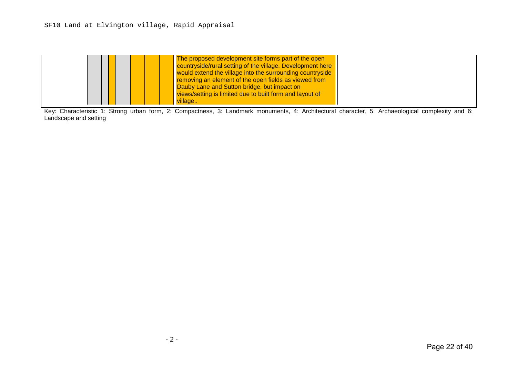# SF10 Land at Elvington village, Rapid Appraisal

|  | The proposed development site forms part of the open<br>countryside/rural setting of the village. Development here<br>would extend the village into the surrounding countryside<br><b>removing an element of the open fields as viewed from</b><br><b>Dauby Lane and Sutton bridge, but impact on</b><br>views/setting is limited due to built form and layout of<br>village |  |
|--|------------------------------------------------------------------------------------------------------------------------------------------------------------------------------------------------------------------------------------------------------------------------------------------------------------------------------------------------------------------------------|--|
|--|------------------------------------------------------------------------------------------------------------------------------------------------------------------------------------------------------------------------------------------------------------------------------------------------------------------------------------------------------------------------------|--|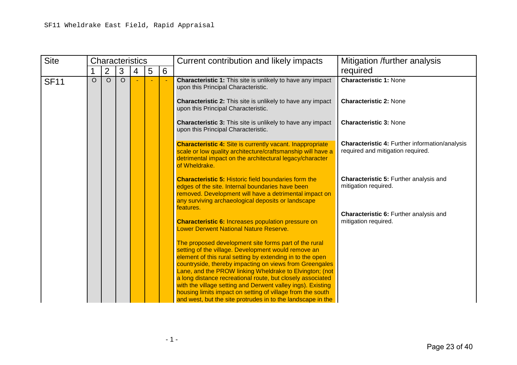| <b>Site</b> |         | <b>Characteristics</b> |          |   |   |   | Current contribution and likely impacts                                                                                                                                                                                                                                                                           | Mitigation /further analysis                                                               |  |
|-------------|---------|------------------------|----------|---|---|---|-------------------------------------------------------------------------------------------------------------------------------------------------------------------------------------------------------------------------------------------------------------------------------------------------------------------|--------------------------------------------------------------------------------------------|--|
|             |         | $\overline{2}$         | 3        | 4 | 5 | 6 |                                                                                                                                                                                                                                                                                                                   | required                                                                                   |  |
| <b>SF11</b> | $\circ$ | $\Omega$               | $\Omega$ |   |   |   | <b>Characteristic 1:</b> This site is unlikely to have any impact<br>upon this Principal Characteristic.<br><b>Characteristic 2:</b> This site is unlikely to have any impact<br>upon this Principal Characteristic.                                                                                              | <b>Characteristic 1: None</b><br><b>Characteristic 2: None</b>                             |  |
|             |         |                        |          |   |   |   | <b>Characteristic 3:</b> This site is unlikely to have any impact<br>upon this Principal Characteristic.                                                                                                                                                                                                          | <b>Characteristic 3: None</b>                                                              |  |
|             |         |                        |          |   |   |   | <b>Characteristic 4: Site is currently vacant. Inappropriate</b><br>scale or low quality architecture/craftsmanship will have a<br>detrimental impact on the architectural legacy/character<br>of Wheldrake.                                                                                                      | <b>Characteristic 4: Further information/analysis</b><br>required and mitigation required. |  |
|             |         |                        |          |   |   |   | <b>Characteristic 5: Historic field boundaries form the</b><br>edges of the site. Internal boundaries have been<br>removed. Development will have a detrimental impact on<br>any surviving archaeological deposits or landscape<br>features.                                                                      | <b>Characteristic 5: Further analysis and</b><br>mitigation required.                      |  |
|             |         |                        |          |   |   |   | <b>Characteristic 6: Increases population pressure on</b><br><b>Lower Derwent National Nature Reserve.</b>                                                                                                                                                                                                        | Characteristic 6: Further analysis and<br>mitigation required.                             |  |
|             |         |                        |          |   |   |   | The proposed development site forms part of the rural<br>setting of the village. Development would remove an<br>element of this rural setting by extending in to the open<br>countryside, thereby impacting on views from Greengales                                                                              |                                                                                            |  |
|             |         |                        |          |   |   |   | Lane, and the PROW linking Wheldrake to Elvington; (not<br>a long distance recreational route, but closely associated<br>with the village setting and Derwent valley ings). Existing<br>housing limits impact on setting of village from the south<br>and west, but the site protrudes in to the landscape in the |                                                                                            |  |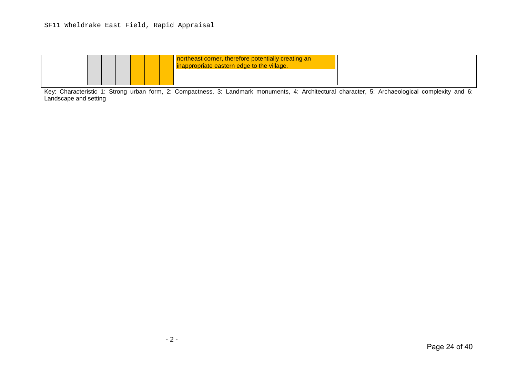# SF11 Wheldrake East Field, Rapid Appraisal

| northeast corner, therefore potentially creating an<br>inappropriate eastern edge to the village. |  |
|---------------------------------------------------------------------------------------------------|--|
|                                                                                                   |  |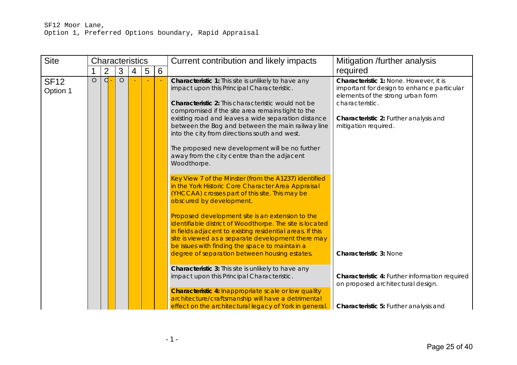| <b>Site</b>             | <b>Characteristics</b> |   |         |   |   |   | Current contribution and likely impacts                                                                                                                                                                                                                                                                                                                                                                                                                                                                                                                                                                                                                                                                                                                                                                                                                                                                                            | Mitigation /further analysis                                                                                                                                                                                   |  |
|-------------------------|------------------------|---|---------|---|---|---|------------------------------------------------------------------------------------------------------------------------------------------------------------------------------------------------------------------------------------------------------------------------------------------------------------------------------------------------------------------------------------------------------------------------------------------------------------------------------------------------------------------------------------------------------------------------------------------------------------------------------------------------------------------------------------------------------------------------------------------------------------------------------------------------------------------------------------------------------------------------------------------------------------------------------------|----------------------------------------------------------------------------------------------------------------------------------------------------------------------------------------------------------------|--|
|                         |                        | 2 | 3       | 4 | 5 | 6 |                                                                                                                                                                                                                                                                                                                                                                                                                                                                                                                                                                                                                                                                                                                                                                                                                                                                                                                                    | required                                                                                                                                                                                                       |  |
| <b>SF12</b><br>Option 1 | $\circ$                | d | $\circ$ |   |   |   | Characteristic 1: This site is unlikely to have any<br>impact upon this Principal Characteristic.<br><b>Characteristic 2:</b> This characteristic would not be<br>compromised if the site area remains tight to the<br>existing road and leaves a wide separation distance<br>between the Bog and between the main railway line<br>into the city from directions south and west.<br>The proposed new development will be no further<br>away from the city centre than the adjacent<br>Woodthorpe.<br>Key View 7 of the Minster (from the A1237) identified<br>in the York Historic Core Character Area Appraisal<br>(YHCCAA) crosses part of this site. This may be<br>obscured by development.<br>Proposed development site is an extension to the<br>identifiable district of Woodthorpe. The site is located<br>in fields adjacent to existing residential areas. If this<br>site is viewed as a separate development there may | Characteristic 1: None. However, it is<br>important for design to enhance particular<br>elements of the strong urban form<br>characteristic.<br>Characteristic 2: Further analysis and<br>mitigation required. |  |
|                         |                        |   |         |   |   |   | be issues with finding the space to maintain a<br>degree of separation between housing estates.                                                                                                                                                                                                                                                                                                                                                                                                                                                                                                                                                                                                                                                                                                                                                                                                                                    | <b>Characteristic 3: None</b>                                                                                                                                                                                  |  |
|                         |                        |   |         |   |   |   | <b>Characteristic 3:</b> This site is unlikely to have any<br>impact upon this Principal Characteristic.                                                                                                                                                                                                                                                                                                                                                                                                                                                                                                                                                                                                                                                                                                                                                                                                                           | Characteristic 4: Further information required<br>on proposed architectural design.                                                                                                                            |  |
|                         |                        |   |         |   |   |   | <b>Characteristic 4: Inappropriate scale or low quality</b><br>architecture/craftsmanship will have a detrimental                                                                                                                                                                                                                                                                                                                                                                                                                                                                                                                                                                                                                                                                                                                                                                                                                  |                                                                                                                                                                                                                |  |
|                         |                        |   |         |   |   |   | effect on the architectural legacy of York in general                                                                                                                                                                                                                                                                                                                                                                                                                                                                                                                                                                                                                                                                                                                                                                                                                                                                              | Characteristic 5: Further analysis and                                                                                                                                                                         |  |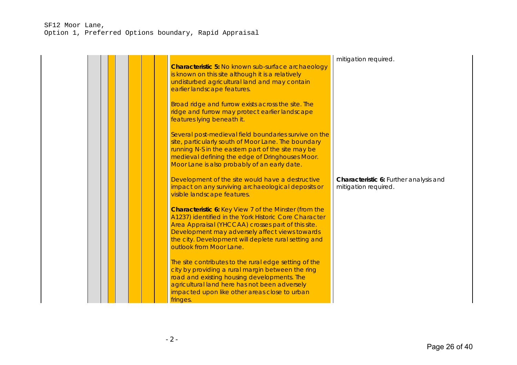## SF12 Moor Lane, Option 1, Preferred Options boundary, Rapid Appraisal

| <b>Characteristic 5: No known sub-surface archaeology</b><br>is known on this site although it is a relatively<br>undisturbed agricultural land and may contain<br>earlier landscape features.<br>Broad ridge and furrow exists across the site. The<br>ridge and furrow may protect earlier landscape<br>features lying beneath it.<br>Several post-medieval field boundaries survive on the<br>site, particularly south of Moor Lane. The boundary<br>running N-S in the eastern part of the site may be<br>medieval defining the edge of Dringhouses Moor.<br>Moor Lane is also probably of an early date. | mitigation required.                                           |
|---------------------------------------------------------------------------------------------------------------------------------------------------------------------------------------------------------------------------------------------------------------------------------------------------------------------------------------------------------------------------------------------------------------------------------------------------------------------------------------------------------------------------------------------------------------------------------------------------------------|----------------------------------------------------------------|
| Development of the site would have a destructive<br>impact on any surviving archaeological deposits or<br>visible landscape features.<br><b>Characteristic 6: Key View 7 of the Minster (from the</b><br>A1237) identified in the York Historic Core Character                                                                                                                                                                                                                                                                                                                                                | Characteristic 6: Further analysis and<br>mitigation required. |
| Area Appraisal (YHCCAA) crosses part of this site.<br>Development may adversely affect views towards<br>the city. Development will deplete rural setting and<br>outlook from Moor Lane.                                                                                                                                                                                                                                                                                                                                                                                                                       |                                                                |
| The site contributes to the rural edge setting of the<br>city by providing a rural margin between the ring<br>road and existing housing developments. The<br>agricultural land here has not been adversely<br>impacted upon like other areas close to urban<br>fringes.                                                                                                                                                                                                                                                                                                                                       |                                                                |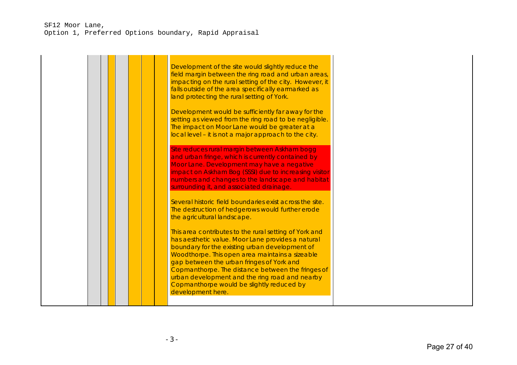## SF12 Moor Lane, Option 1, Preferred Options boundary, Rapid Appraisal

|  | Development of the site would slightly reduce the<br>field margin between the ring road and urban areas,<br>impacting on the rural setting of the city. However, it<br>falls outside of the area specifically earmarked as<br>land protecting the rural setting of York.<br>Development would be sufficiently far away for the<br>setting as viewed from the ring road to be negligible.<br>The impact on Moor Lane would be greater at a<br>local level - it is not a major approach to the city. |  |
|--|----------------------------------------------------------------------------------------------------------------------------------------------------------------------------------------------------------------------------------------------------------------------------------------------------------------------------------------------------------------------------------------------------------------------------------------------------------------------------------------------------|--|
|  | Site reduces rural margin between Askham bogg<br>and urban fringe, which is currently contained by<br>Moor Lane. Development may have a negative<br>impact on Askham Bog (SSSI) due to increasing visitor<br>numbers and changes to the landscape and habitat<br>surrounding it, and associated drainage.<br>Several historic field boundaries exist across the site.<br>The destruction of hedgerows would further erode                                                                          |  |
|  | the agricultural landscape.<br>This area contributes to the rural setting of York and<br>has aesthetic value. Moor Lane provides a natural<br>boundary for the existing urban development of<br>Woodthorpe. This open area maintains a sizeable<br>gap between the urban fringes of York and<br>Copmanthorpe. The distance between the fringes of<br>urban development and the ring road and nearby<br>Copmanthorpe would be slightly reduced by<br>development here.                              |  |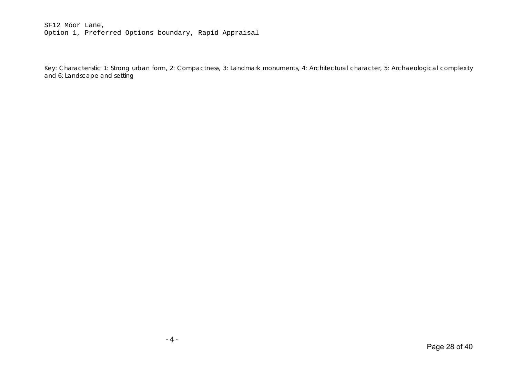#### SF12 Moor Lane, Option 1, Preferred Options boundary, Rapid Appraisal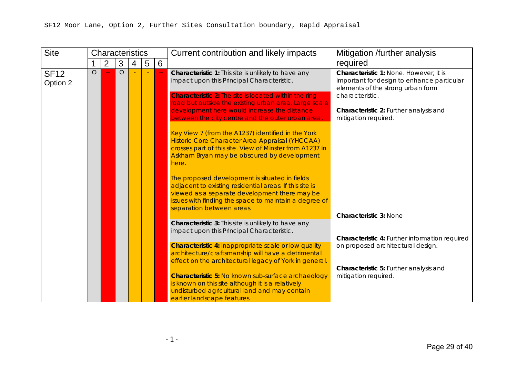| <b>Site</b>             |         | Current contribution and likely impacts<br><b>Characteristics</b> |         |   |   |   |                                                                                                                                                                                                                                                  | Mitigation /further analysis                                                                                                                 |  |
|-------------------------|---------|-------------------------------------------------------------------|---------|---|---|---|--------------------------------------------------------------------------------------------------------------------------------------------------------------------------------------------------------------------------------------------------|----------------------------------------------------------------------------------------------------------------------------------------------|--|
|                         |         | $\overline{2}$                                                    | 3       | 4 | 5 | 6 |                                                                                                                                                                                                                                                  | required                                                                                                                                     |  |
| <b>SF12</b><br>Option 2 | $\circ$ |                                                                   | $\circ$ |   |   |   | Characteristic 1: This site is unlikely to have any<br>impact upon this Principal Characteristic.<br><b>Characteristic 2:</b> The site is located within the ring                                                                                | Characteristic 1: None. However, it is<br>important for design to enhance particular<br>elements of the strong urban form<br>characteristic. |  |
|                         |         |                                                                   |         |   |   |   | road but outside the existing urban area. Large scale<br>development here would increase the distance<br>between the city centre and the outer urban area.                                                                                       | Characteristic 2: Further analysis and<br>mitigation required.                                                                               |  |
|                         |         |                                                                   |         |   |   |   | Key View 7 (from the A1237) identified in the York<br>Historic Core Character Area Appraisal (YHCCAA)<br>crosses part of this site. View of Minster from A1237 in<br>Askham Bryan may be obscured by development<br>here.                        |                                                                                                                                              |  |
|                         |         |                                                                   |         |   |   |   | The proposed development is situated in fields<br>adjacent to existing residential areas. If this site is<br>viewed as a separate development there may be<br>issues with finding the space to maintain a degree of<br>separation between areas. |                                                                                                                                              |  |
|                         |         |                                                                   |         |   |   |   | Characteristic 3: This site is unlikely to have any                                                                                                                                                                                              | <b>Characteristic 3: None</b>                                                                                                                |  |
|                         |         |                                                                   |         |   |   |   | impact upon this Principal Characteristic.                                                                                                                                                                                                       | Characteristic 4: Further information required                                                                                               |  |
|                         |         |                                                                   |         |   |   |   | <b>Characteristic 4: Inappropriate scale or low quality</b><br>architecture/craftsmanship will have a detrimental<br>effect on the architectural legacy of York in general                                                                       | on proposed architectural design.                                                                                                            |  |
|                         |         |                                                                   |         |   |   |   | <b>Characteristic 5: No known sub-surface archaeology</b><br>is known on this site although it is a relatively<br>undisturbed agricultural land and may contain<br>earlier landscape features.                                                   | Characteristic 5: Further analysis and<br>mitigation required.                                                                               |  |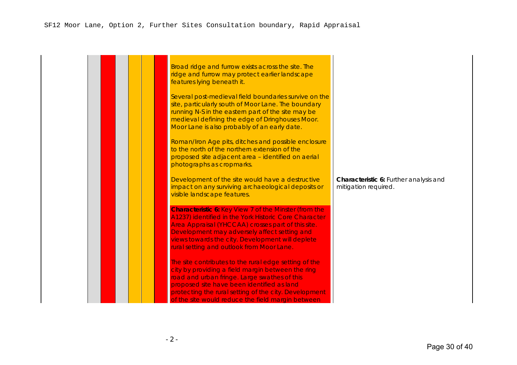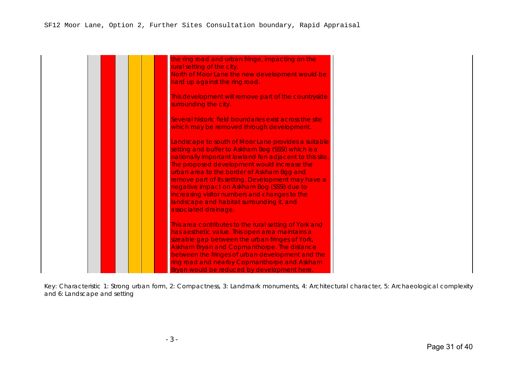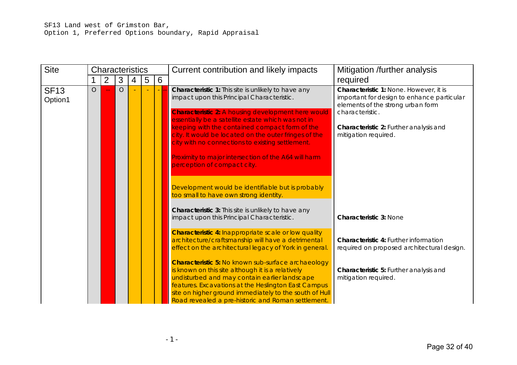| <b>Site</b>            | <b>Characteristics</b> |                |            |   |   |   | Current contribution and likely impacts                                                                                                                                                                                                                                                                                                | Mitigation /further analysis                                                                                                                 |  |
|------------------------|------------------------|----------------|------------|---|---|---|----------------------------------------------------------------------------------------------------------------------------------------------------------------------------------------------------------------------------------------------------------------------------------------------------------------------------------------|----------------------------------------------------------------------------------------------------------------------------------------------|--|
|                        |                        | $\overline{2}$ | 3          | 4 | 5 | 6 |                                                                                                                                                                                                                                                                                                                                        | required                                                                                                                                     |  |
| <b>SF13</b><br>Option1 | $\bigcirc$             |                | $\bigcirc$ |   |   |   | Characteristic 1: This site is unlikely to have any<br>impact upon this Principal Characteristic.<br><b>Characteristic 2: A housing development here would</b>                                                                                                                                                                         | Characteristic 1: None. However, it is<br>important for design to enhance particular<br>elements of the strong urban form<br>characteristic. |  |
|                        |                        |                |            |   |   |   | essentially be a satellite estate which was not in                                                                                                                                                                                                                                                                                     |                                                                                                                                              |  |
|                        |                        |                |            |   |   |   | keeping with the contained compact form of the<br>city. It would be located on the outer fringes of the<br>city with no connections to existing settlement.                                                                                                                                                                            | Characteristic 2: Further analysis and<br>mitigation required.                                                                               |  |
|                        |                        |                |            |   |   |   | Proximity to major intersection of the A64 will harm<br>perception of compact city.                                                                                                                                                                                                                                                    |                                                                                                                                              |  |
|                        |                        |                |            |   |   |   | Development would be identifiable but is probably<br>too small to have own strong identity.                                                                                                                                                                                                                                            |                                                                                                                                              |  |
|                        |                        |                |            |   |   |   | Characteristic 3: This site is unlikely to have any<br>impact upon this Principal Characteristic.                                                                                                                                                                                                                                      | <b>Characteristic 3: None</b>                                                                                                                |  |
|                        |                        |                |            |   |   |   | <b>Characteristic 4: Inappropriate scale or low quality</b>                                                                                                                                                                                                                                                                            |                                                                                                                                              |  |
|                        |                        |                |            |   |   |   | architecture/craftsmanship will have a detrimental<br>effect on the architectural legacy of York in general.                                                                                                                                                                                                                           | Characteristic 4: Further information<br>required on proposed architectural design.                                                          |  |
|                        |                        |                |            |   |   |   | <b>Characteristic 5: No known sub-surface archaeology</b><br>is known on this site although it is a relatively<br>undisturbed and may contain earlier landscape<br>features. Excavations at the Heslington East Campus<br>site on higher ground immediately to the south of Hull<br>Road revealed a pre-historic and Roman settlement. | Characteristic 5: Further analysis and<br>mitigation required.                                                                               |  |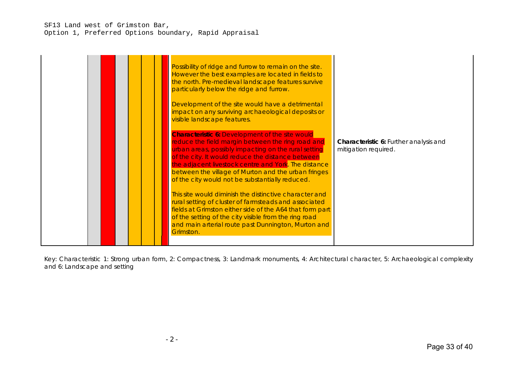## SF13 Land west of Grimston Bar, Option 1, Preferred Options boundary, Rapid Appraisal

|  |  |  |  |  | Possibility of ridge and furrow to remain on the site.<br>However the best examples are located in fields to<br>the north. Pre-medieval landscape features survive<br>particularly below the ridge and furrow.<br>Development of the site would have a detrimental<br>impact on any surviving archaeological deposits or<br>visible landscape features.<br><b>Characteristic 6: Development of the site would</b><br>reduce the field margin between the ring road and<br>urban areas, possibly impacting on the rural setting<br>of the city. It would reduce the distance between<br>the adjacent livestock centre and York. The distance<br>between the village of Murton and the urban fringes<br>of the city would not be substantially reduced.<br>This site would diminish the distinctive character and<br>rural setting of cluster of farmsteads and associated<br>fields at Grimston either side of the A64 that form part<br>of the setting of the city visible from the ring road<br>and main arterial route past Dunnington, Murton and<br>Grimston. | Characteristic 6: Further analysis and<br>mitigation required. |
|--|--|--|--|--|-------------------------------------------------------------------------------------------------------------------------------------------------------------------------------------------------------------------------------------------------------------------------------------------------------------------------------------------------------------------------------------------------------------------------------------------------------------------------------------------------------------------------------------------------------------------------------------------------------------------------------------------------------------------------------------------------------------------------------------------------------------------------------------------------------------------------------------------------------------------------------------------------------------------------------------------------------------------------------------------------------------------------------------------------------------------|----------------------------------------------------------------|
|--|--|--|--|--|-------------------------------------------------------------------------------------------------------------------------------------------------------------------------------------------------------------------------------------------------------------------------------------------------------------------------------------------------------------------------------------------------------------------------------------------------------------------------------------------------------------------------------------------------------------------------------------------------------------------------------------------------------------------------------------------------------------------------------------------------------------------------------------------------------------------------------------------------------------------------------------------------------------------------------------------------------------------------------------------------------------------------------------------------------------------|----------------------------------------------------------------|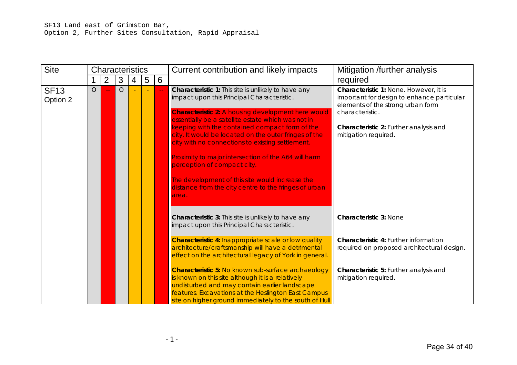| <b>Site</b>             |            | <b>Characteristics</b> |            |   |   |   | Current contribution and likely impacts                                                                                                                                                                                    | Mitigation /further analysis                                                                                                                 |  |
|-------------------------|------------|------------------------|------------|---|---|---|----------------------------------------------------------------------------------------------------------------------------------------------------------------------------------------------------------------------------|----------------------------------------------------------------------------------------------------------------------------------------------|--|
|                         |            | $\overline{2}$         | 3          | 4 | 5 | 6 |                                                                                                                                                                                                                            | required                                                                                                                                     |  |
| <b>SF13</b><br>Option 2 | $\bigcirc$ |                        | $\bigcirc$ |   |   |   | Characteristic 1: This site is unlikely to have any<br>impact upon this Principal Characteristic.                                                                                                                          | Characteristic 1: None. However, it is<br>important for design to enhance particular<br>elements of the strong urban form<br>characteristic. |  |
|                         |            |                        |            |   |   |   | <b>Characteristic 2: A housing development here would</b><br>essentially be a satellite estate which was not in<br>keeping with the contained compact form of the<br>city. It would be located on the outer fringes of the | Characteristic 2: Further analysis and<br>mitigation required.                                                                               |  |
|                         |            |                        |            |   |   |   | city with no connections to existing settlement.<br>Proximity to major intersection of the A64 will harm                                                                                                                   |                                                                                                                                              |  |
|                         |            |                        |            |   |   |   | perception of compact city.<br>The development of this site would increase the                                                                                                                                             |                                                                                                                                              |  |
|                         |            |                        |            |   |   |   | distance from the city centre to the fringes of urban<br>area.                                                                                                                                                             |                                                                                                                                              |  |
|                         |            |                        |            |   |   |   | Characteristic 3: This site is unlikely to have any<br>impact upon this Principal Characteristic.                                                                                                                          | <b>Characteristic 3: None</b>                                                                                                                |  |
|                         |            |                        |            |   |   |   | <b>Characteristic 4: Inappropriate scale or low quality</b><br>architecture/craftsmanship will have a detrimental<br>effect on the architectural legacy of York in general.                                                | Characteristic 4: Further information<br>required on proposed architectural design.                                                          |  |
|                         |            |                        |            |   |   |   | <b>Characteristic 5: No known sub-surface archaeology</b><br>is known on this site although it is a relatively<br>undisturbed and may contain earlier landscape<br>features. Excavations at the Heslington East Campus     | Characteristic 5: Further analysis and<br>mitigation required.                                                                               |  |
|                         |            |                        |            |   |   |   | site on higher ground immediately to the south of Hull                                                                                                                                                                     |                                                                                                                                              |  |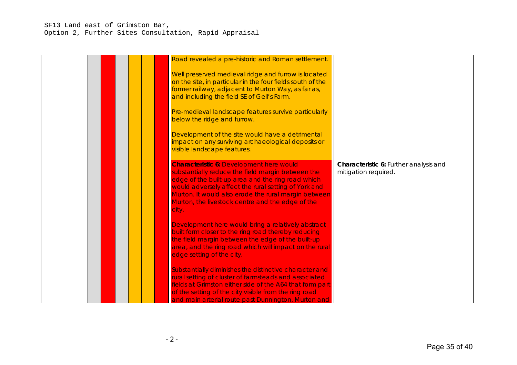## SF13 Land east of Grimston Bar, Option 2, Further Sites Consultation, Rapid Appraisal

| Road revealed a pre-historic and Roman settlement.                                                                                                                                                                                                                                                                                     |                                                                |
|----------------------------------------------------------------------------------------------------------------------------------------------------------------------------------------------------------------------------------------------------------------------------------------------------------------------------------------|----------------------------------------------------------------|
| Well preserved medieval ridge and furrow is located<br>on the site, in particular in the four fields south of the<br>former railway, adjacent to Murton Way, as far as,<br>and including the field SE of Gell's Farm.                                                                                                                  |                                                                |
| Pre-medieval landscape features survive particularly<br>below the ridge and furrow.                                                                                                                                                                                                                                                    |                                                                |
| Development of the site would have a detrimental<br>impact on any surviving archaeological deposits or<br>visible landscape features.                                                                                                                                                                                                  |                                                                |
| <b>Characteristic 6: Development here would</b><br>substantially reduce the field margin between the<br>edge of the built-up area and the ring road which<br>would adversely affect the rural setting of York and<br>Murton. It would also erode the rural margin between<br>Murton, the livestock centre and the edge of the<br>city. | Characteristic 6: Further analysis and<br>mitigation required. |
| Development here would bring a relatively abstract<br>built form closer to the ring road thereby reducing<br>the field margin between the edge of the built-up<br>area, and the ring road which will impact on the rural<br>edge setting of the city.                                                                                  |                                                                |
| Substantially diminishes the distinctive character and<br>rural setting of cluster of farmsteads and associated<br>fields at Grimston either side of the A64 that form part<br>of the setting of the city visible from the ring road<br>and main arterial route past Dunnington, Murton and                                            |                                                                |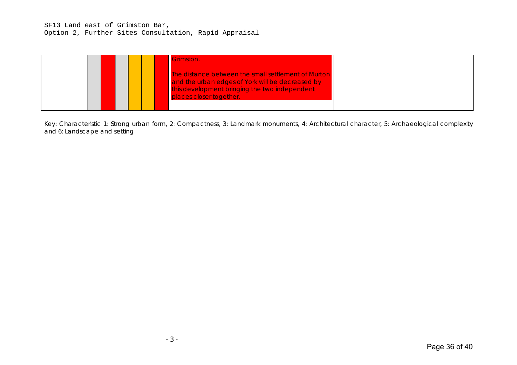### SF13 Land east of Grimston Bar, Option 2, Further Sites Consultation, Rapid Appraisal

|  | Grimston.                                                                                                                                                                           |  |
|--|-------------------------------------------------------------------------------------------------------------------------------------------------------------------------------------|--|
|  | The distance between the small settlement of Murton<br>and the urban edges of York will be decreased by<br>this development bringing the two independent<br>places closer together. |  |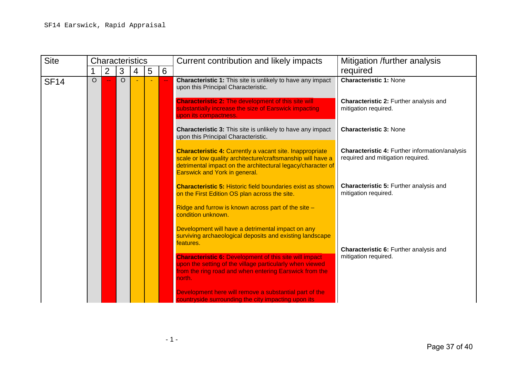| <b>Site</b> |         | <b>Characteristics</b> |          |   |   |    | Current contribution and likely impacts                                                                                                                                                                                        | Mitigation /further analysis                                                        |
|-------------|---------|------------------------|----------|---|---|----|--------------------------------------------------------------------------------------------------------------------------------------------------------------------------------------------------------------------------------|-------------------------------------------------------------------------------------|
|             |         | $\overline{2}$         | 3        | 4 | 5 | 6  |                                                                                                                                                                                                                                | required                                                                            |
| <b>SF14</b> | $\circ$ |                        | $\Omega$ |   |   | ÷. | <b>Characteristic 1: None</b><br><b>Characteristic 1:</b> This site is unlikely to have any impact<br>upon this Principal Characteristic.<br><b>Characteristic 2: The development of this site will</b>                        | Characteristic 2: Further analysis and                                              |
|             |         |                        |          |   |   |    | substantially increase the size of Earswick impacting<br>upon its compactness.                                                                                                                                                 | mitigation required.                                                                |
|             |         |                        |          |   |   |    | <b>Characteristic 3:</b> This site is unlikely to have any impact<br>upon this Principal Characteristic.                                                                                                                       | <b>Characteristic 3: None</b>                                                       |
|             |         |                        |          |   |   |    | <b>Characteristic 4: Currently a vacant site. Inappropriate</b><br>scale or low quality architecture/craftsmanship will have a<br>detrimental impact on the architectural legacy/character of<br>Earswick and York in general. | Characteristic 4: Further information/analysis<br>required and mitigation required. |
|             |         |                        |          |   |   |    | <b>Characteristic 5: Historic field boundaries exist as shown</b><br>on the First Edition OS plan across the site.                                                                                                             | Characteristic 5: Further analysis and<br>mitigation required.                      |
|             |         |                        |          |   |   |    | Ridge and furrow is known across part of the site -<br>condition unknown.                                                                                                                                                      |                                                                                     |
|             |         |                        |          |   |   |    | Development will have a detrimental impact on any<br>surviving archaeological deposits and existing landscape<br>features.                                                                                                     | Characteristic 6: Further analysis and                                              |
|             |         |                        |          |   |   |    | <b>Characteristic 6: Development of this site will impact</b><br>upon the setting of the village particularly when viewed<br>from the ring road and when entering Earswick from the<br>north.                                  | mitigation required.                                                                |
|             |         |                        |          |   |   |    | Development here will remove a substantial part of the<br>countryside surrounding the city impacting upon its                                                                                                                  |                                                                                     |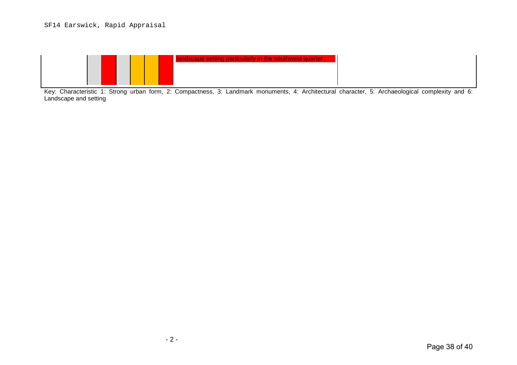# SF14 Earswick, Rapid Appraisal

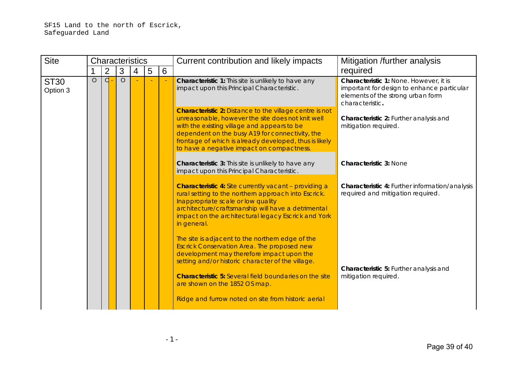| <b>Site</b>             |         |                |         | <b>Characteristics</b> |   |   | Current contribution and likely impacts                                                                                                                                                                                                                                                                                      | Mitigation /further analysis                                                                                                                 |
|-------------------------|---------|----------------|---------|------------------------|---|---|------------------------------------------------------------------------------------------------------------------------------------------------------------------------------------------------------------------------------------------------------------------------------------------------------------------------------|----------------------------------------------------------------------------------------------------------------------------------------------|
|                         |         | $\overline{2}$ | 3       | 4                      | 5 | 6 |                                                                                                                                                                                                                                                                                                                              | required                                                                                                                                     |
| <b>ST30</b><br>Option 3 | $\circ$ | $\overline{d}$ | $\circ$ |                        |   |   | <b>Characteristic 1:</b> This site is unlikely to have any<br>impact upon this Principal Characteristic.                                                                                                                                                                                                                     | Characteristic 1: None. However, it is<br>important for design to enhance particular<br>elements of the strong urban form<br>characteristic. |
|                         |         |                |         |                        |   |   | <b>Characteristic 2: Distance to the village centre is not</b><br>unreasonable, however the site does not knit well<br>with the existing village and appears to be<br>dependent on the busy A19 for connectivity, the<br>frontage of which is already developed, thus is likely<br>to have a negative impact on compactness. | Characteristic 2: Further analysis and<br>mitigation required.                                                                               |
|                         |         |                |         |                        |   |   | <b>Characteristic 3:</b> This site is unlikely to have any<br>impact upon this Principal Characteristic.                                                                                                                                                                                                                     | <b>Characteristic 3: None</b>                                                                                                                |
|                         |         |                |         |                        |   |   | <b>Characteristic 4:</b> Site currently vacant - providing a<br>rural setting to the northern approach into Escrick.<br>Inappropriate scale or low quality<br>architecture/craftsmanship will have a detrimental<br>impact on the architectural legacy Escrick and York<br>in general.                                       | <b>Characteristic 4: Further information/analysis</b><br>required and mitigation required.                                                   |
|                         |         |                |         |                        |   |   | The site is adjacent to the northern edge of the<br>Escrick Conservation Area. The proposed new<br>development may therefore impact upon the<br>setting and/or historic character of the village.                                                                                                                            |                                                                                                                                              |
|                         |         |                |         |                        |   |   | <b>Characteristic 5: Several field boundaries on the site</b><br>are shown on the 1852 OS map.                                                                                                                                                                                                                               | Characteristic 5: Further analysis and<br>mitigation required.                                                                               |
|                         |         |                |         |                        |   |   | Ridge and furrow noted on site from historic aerial                                                                                                                                                                                                                                                                          |                                                                                                                                              |